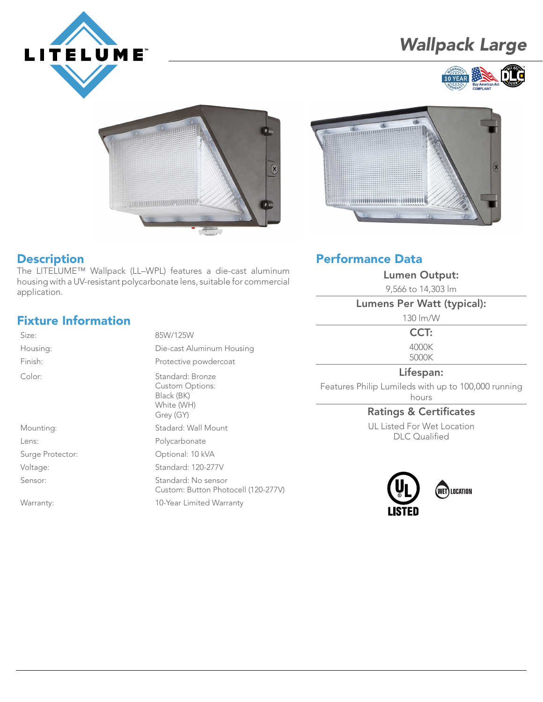

# *Wallpack Large*







#### **Description**

The LITELUME™ Wallpack (LL–WPL) features a die-cast aluminum housing with a UV-resistant polycarbonate lens, suitable for commercial application.

## Fixture Information

Housing: Color:

Surge Protector: Optional: 10 kVA Voltage: Standard: 120-277V Sensor: Standard: No sensor

| <b>Fixture Information</b> |                                            |
|----------------------------|--------------------------------------------|
| Size:                      | 85W/125W                                   |
| Housing:                   | Die-cast Aluminum Housing                  |
| Finish:                    | Protective powdercoat                      |
| Color:                     | Standard: Bronze<br><b>Custom Options:</b> |

Black (BK) White (WH) Grey (GY)

Mounting: Stadard: Wall Mount

Lens: Polycarbonate

Custom: Button Photocell (120-277V)

Warranty: 10-Year Limited Warranty

# Performance Data

Lumen Output:

9,566 to 14,303 lm

#### Lumens Per Watt (typical):

130 lm/W

CCT:

4000K 5000K

#### Lifespan:

Features Philip Lumileds with up to 100,000 running hours

#### Ratings & Certificates

UL Listed For Wet Location DLC Qualified



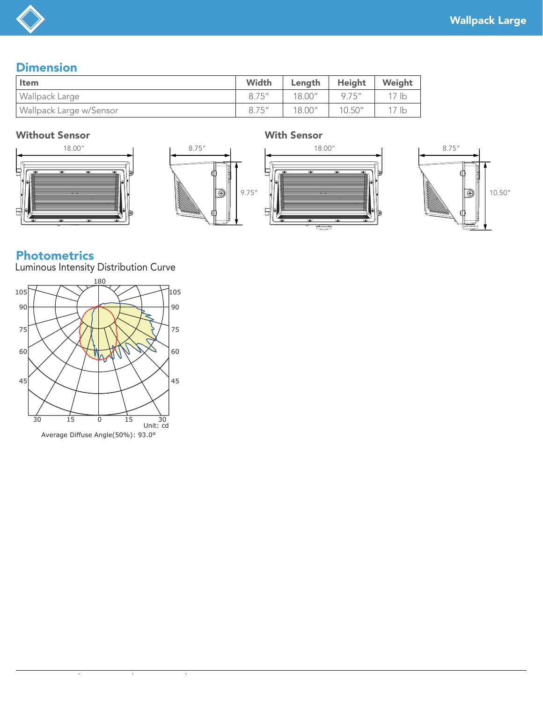## **Dimension**

| . Item                  | Width  | Lenath  | Height  | Weight           |
|-------------------------|--------|---------|---------|------------------|
| Wallpack Large          | 8.75'' | 18.00'' | 9.75''  | 17 lb            |
| Wallpack Large w/Sensor | 8.75'' | 18.00"  | 10.50'' | 17 <sub>1b</sub> |

#### Without Sensor With Sensor









### Photometrics

Luminous Intensity Distribution Curve



 $\overline{\phantom{a}}$ 

 $\bar{z}$